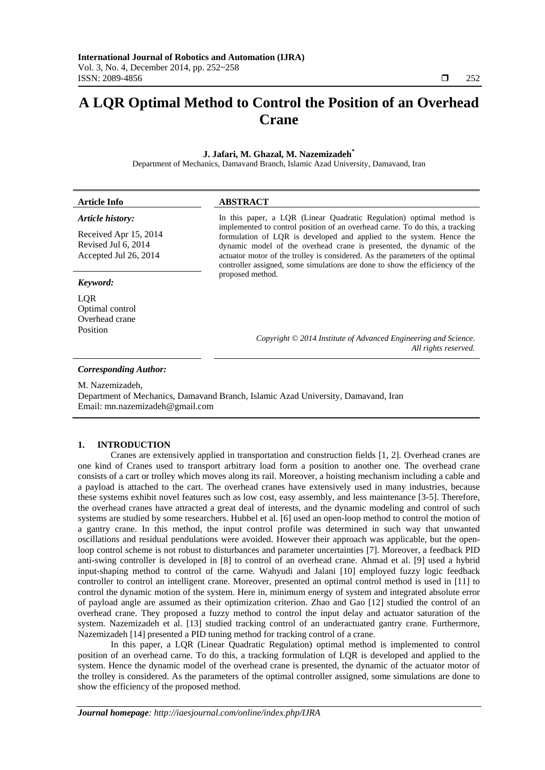# **A LQR Optimal Method to Control the Position of an Overhead Crane**

## **J. Jafari, M. Ghazal, M. Nazemizadeh\***

Department of Mechanics, Damavand Branch, Islamic Azad University, Damavand, Iran

| <b>Article Info</b>                                                   | <b>ABSTRACT</b>                                                                                                                                                                                                                                                                                                                                                                                                                                                       |
|-----------------------------------------------------------------------|-----------------------------------------------------------------------------------------------------------------------------------------------------------------------------------------------------------------------------------------------------------------------------------------------------------------------------------------------------------------------------------------------------------------------------------------------------------------------|
| Article history:                                                      | In this paper, a LQR (Linear Quadratic Regulation) optimal method is<br>implemented to control position of an overhead carne. To do this, a tracking<br>formulation of LQR is developed and applied to the system. Hence the<br>dynamic model of the overhead crane is presented, the dynamic of the<br>actuator motor of the trolley is considered. As the parameters of the optimal<br>controller assigned, some simulations are done to show the efficiency of the |
| Received Apr 15, 2014<br>Revised Jul 6, 2014<br>Accepted Jul 26, 2014 |                                                                                                                                                                                                                                                                                                                                                                                                                                                                       |
| Keyword:                                                              | proposed method.                                                                                                                                                                                                                                                                                                                                                                                                                                                      |
| LQR<br>Optimal control<br>Overhead crane                              |                                                                                                                                                                                                                                                                                                                                                                                                                                                                       |
| Position                                                              | Copyright © 2014 Institute of Advanced Engineering and Science.<br>All rights reserved.                                                                                                                                                                                                                                                                                                                                                                               |
| <b>Corresponding Author:</b>                                          |                                                                                                                                                                                                                                                                                                                                                                                                                                                                       |
| M. Nazemizadeh,                                                       |                                                                                                                                                                                                                                                                                                                                                                                                                                                                       |

Department of Mechanics, Damavand Branch, Islamic Azad University, Damavand, Iran Email: mn.nazemizadeh@gmail.com

## **1. INTRODUCTION**

Cranes are extensively applied in transportation and construction fields [1, 2]. Overhead cranes are one kind of Cranes used to transport arbitrary load form a position to another one. The overhead crane consists of a cart or trolley which moves along its rail. Moreover, a hoisting mechanism including a cable and a payload is attached to the cart. The overhead cranes have extensively used in many industries, because these systems exhibit novel features such as low cost, easy assembly, and less maintenance [3-5]. Therefore, the overhead cranes have attracted a great deal of interests, and the dynamic modeling and control of such systems are studied by some researchers. Hubbel et al. [6] used an open-loop method to control the motion of a gantry crane. In this method, the input control profile was determined in such way that unwanted oscillations and residual pendulations were avoided. However their approach was applicable, but the openloop control scheme is not robust to disturbances and parameter uncertainties [7]. Moreover, a feedback PID anti-swing controller is developed in [8] to control of an overhead crane. Ahmad et al. [9] used a hybrid input-shaping method to control of the carne. Wahyudi and Jalani [10] employed fuzzy logic feedback controller to control an intelligent crane. Moreover, presented an optimal control method is used in [11] to control the dynamic motion of the system. Here in, minimum energy of system and integrated absolute error of payload angle are assumed as their optimization criterion. Zhao and Gao [12] studied the control of an overhead crane. They proposed a fuzzy method to control the input delay and actuator saturation of the system. Nazemizadeh et al. [13] studied tracking control of an underactuated gantry crane. Furthermore, Nazemizadeh [14] presented a PID tuning method for tracking control of a crane.

In this paper, a LQR (Linear Quadratic Regulation) optimal method is implemented to control position of an overhead carne. To do this, a tracking formulation of LQR is developed and applied to the system. Hence the dynamic model of the overhead crane is presented, the dynamic of the actuator motor of the trolley is considered. As the parameters of the optimal controller assigned, some simulations are done to show the efficiency of the proposed method.

ֺֺ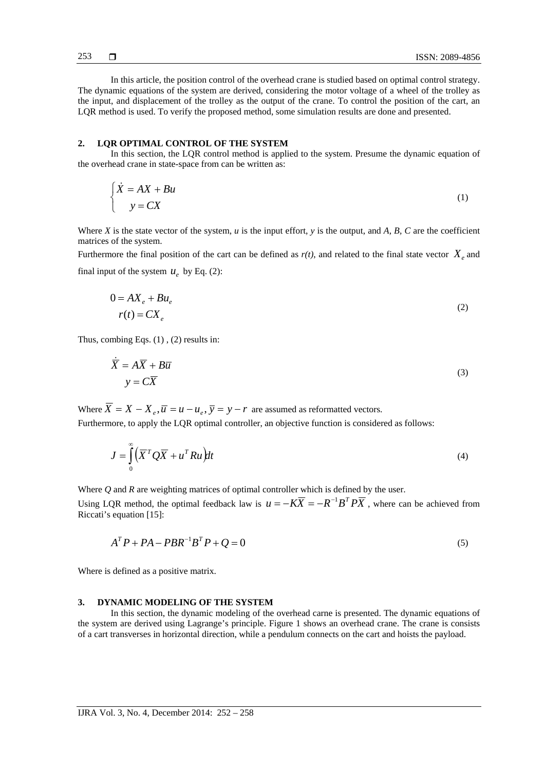In this article, the position control of the overhead crane is studied based on optimal control strategy. The dynamic equations of the system are derived, considering the motor voltage of a wheel of the trolley as the input, and displacement of the trolley as the output of the crane. To control the position of the cart, an LQR method is used. To verify the proposed method, some simulation results are done and presented.

#### **2. LQR OPTIMAL CONTROL OF THE SYSTEM**

In this section, the LQR control method is applied to the system. Presume the dynamic equation of the overhead crane in state-space from can be written as:

$$
\begin{cases} \n\dot{X} = AX + Bu \\ \n\quad y = CX \n\end{cases} \tag{1}
$$

Where *X* is the state vector of the system,  $u$  is the input effort,  $y$  is the output, and  $A$ ,  $B$ ,  $C$  are the coefficient matrices of the system.

Furthermore the final position of the cart can be defined as  $r(t)$ , and related to the final state vector  $X_{\rho}$  and final input of the system  $u_e$  by Eq. (2):

$$
0 = AX_e + Bu_e
$$
  

$$
r(t) = CX_e
$$
 (2)

Thus, combing Eqs. (1) , (2) results in:

$$
\dot{\overline{X}} = A\overline{X} + B\overline{u}
$$
  
 
$$
y = C\overline{X}
$$
 (3)

Where  $\overline{X} = X - X_{a}$ ,  $\overline{u} = u - u_{a}$ ,  $\overline{y} = y - r$  are assumed as reformatted vectors.

Furthermore, to apply the LQR optimal controller, an objective function is considered as follows:

$$
J = \int_{0}^{\infty} \left( \overline{X}^T Q \overline{X} + u^T R u \right) dt
$$
 (4)

Where *Q* and *R* are weighting matrices of optimal controller which is defined by the user.

Using LQR method, the optimal feedback law is  $u = -K\overline{X} = -R^{-1}B^T P\overline{X}$ , where can be achieved from Riccati's equation [15]:

$$
ATP + PA - PBR-1BTP + Q = 0
$$
\n<sup>(5)</sup>

Where is defined as a positive matrix.

#### **3. DYNAMIC MODELING OF THE SYSTEM**

In this section, the dynamic modeling of the overhead carne is presented. The dynamic equations of the system are derived using Lagrange's principle. Figure 1 shows an overhead crane. The crane is consists of a cart transverses in horizontal direction, while a pendulum connects on the cart and hoists the payload.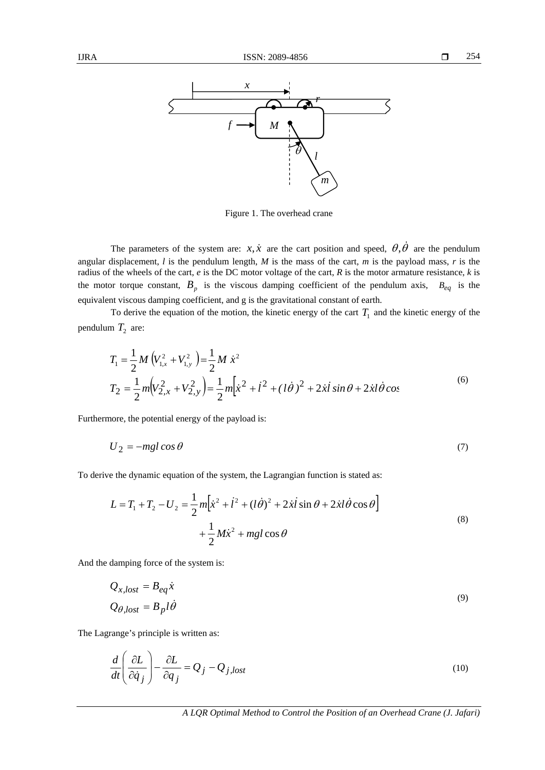

Figure 1. The overhead crane

The parameters of the system are:  $x, \dot{x}$  are the cart position and speed,  $\theta, \dot{\theta}$  are the pendulum angular displacement, *l* is the pendulum length, *M* is the mass of the cart, *m* is the payload mass, *r* is the radius of the wheels of the cart, *e* is the DC motor voltage of the cart, *R* is the motor armature resistance, *k* is the motor torque constant,  $B_p$  is the viscous damping coefficient of the pendulum axis,  $B_{eq}$  is the equivalent viscous damping coefficient, and g is the gravitational constant of earth.

To derive the equation of the motion, the kinetic energy of the cart  $T_1$  and the kinetic energy of the pendulum  $T_2$  are:

$$
T_1 = \frac{1}{2}M(V_{1,x}^2 + V_{1,y}^2) = \frac{1}{2}M\dot{x}^2
$$
  
\n
$$
T_2 = \frac{1}{2}m(V_{2,x}^2 + V_{2,y}^2) = \frac{1}{2}m[\dot{x}^2 + \dot{l}^2 + (\dot{l}\dot{\theta})^2 + 2\dot{x}\dot{l}\sin\theta + 2\dot{x}\dot{l}\dot{\theta}\cos\theta]
$$
\n(6)

Furthermore, the potential energy of the payload is:

$$
U_2 = -mgl\cos\theta\tag{7}
$$

To derive the dynamic equation of the system, the Lagrangian function is stated as:

$$
L = T_1 + T_2 - U_2 = \frac{1}{2} m \left[ \dot{x}^2 + \dot{l}^2 + (\dot{l}\dot{\theta})^2 + 2\dot{x}\dot{l}\sin\theta + 2\dot{x}l\dot{\theta}\cos\theta \right] + \frac{1}{2} M\dot{x}^2 + mgl\cos\theta
$$
 (8)

And the damping force of the system is:

$$
Q_{x,lost} = B_{eq} \dot{x}
$$
  

$$
Q_{\theta, lost} = B_p l \dot{\theta}
$$
 (9)

The Lagrange's principle is written as:

$$
\frac{d}{dt} \left( \frac{\partial L}{\partial \dot{q}_j} \right) - \frac{\partial L}{\partial q_j} = Q_j - Q_{j, lost}
$$
\n(10)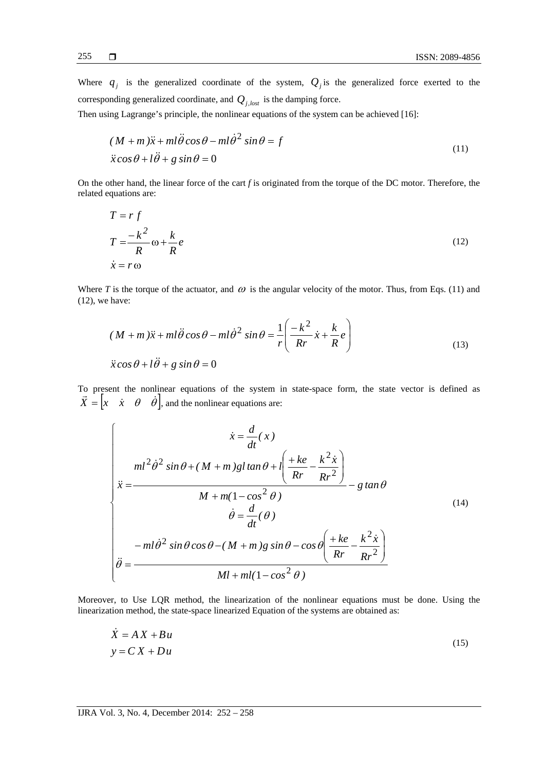Where  $q_j$  is the generalized coordinate of the system,  $Q_j$  is the generalized force exerted to the corresponding generalized coordinate, and *Qj*,*lost* is the damping force.

Then using Lagrange's principle, the nonlinear equations of the system can be achieved [16]:

$$
(M + m)\ddot{x} + ml\ddot{\theta}\cos\theta - ml\dot{\theta}^{2}\sin\theta = f
$$
  

$$
\ddot{x}\cos\theta + l\ddot{\theta} + g\sin\theta = 0
$$
 (11)

On the other hand, the linear force of the cart *f* is originated from the torque of the DC motor. Therefore, the related equations are:

$$
T = r f
$$
  
\n
$$
T = \frac{-k^2}{R} \omega + \frac{k}{R} e
$$
  
\n
$$
\dot{x} = r \omega
$$
\n(12)

Where *T* is the torque of the actuator, and  $\omega$  is the angular velocity of the motor. Thus, from Eqs. (11) and (12), we have:

$$
(M+m)\ddot{x} + ml\ddot{\theta}\cos\theta - ml\dot{\theta}^2\sin\theta = \frac{1}{r}\left(\frac{-k^2}{Rr}\dot{x} + \frac{k}{R}e\right)
$$
  

$$
\ddot{x}\cos\theta + l\ddot{\theta} + g\sin\theta = 0
$$
 (13)

To present the nonlinear equations of the system in state-space form, the state vector is defined as  $\vec{X} = \begin{bmatrix} x & \dot{x} & \theta & \dot{\theta} \end{bmatrix}$ , and the nonlinear equations are:

$$
\begin{cases}\n\dot{x} = \frac{d}{dt}(x) \\
\frac{m l^2 \dot{\theta}^2 \sin \theta + (M + m)gl \tan \theta + l \left(\frac{+ke}{Rr} - \frac{k^2 \dot{x}}{Rr^2}\right)}{M + m(1 - \cos^2 \theta)} - g \tan \theta \\
\dot{\theta} = \frac{d}{dt}(\theta) \\
-\frac{-ml \dot{\theta}^2 \sin \theta \cos \theta - (M + m)g \sin \theta - \cos \theta \left(\frac{+ke}{Rr} - \frac{k^2 \dot{x}}{Rr^2}\right)}{Ml + ml(1 - \cos^2 \theta)}\n\end{cases}
$$
\n(14)

Moreover, to Use LQR method, the linearization of the nonlinear equations must be done. Using the linearization method, the state-space linearized Equation of the systems are obtained as:

$$
\dot{X} = AX + Bu
$$
  
\n
$$
y = CX + Du
$$
\n(15)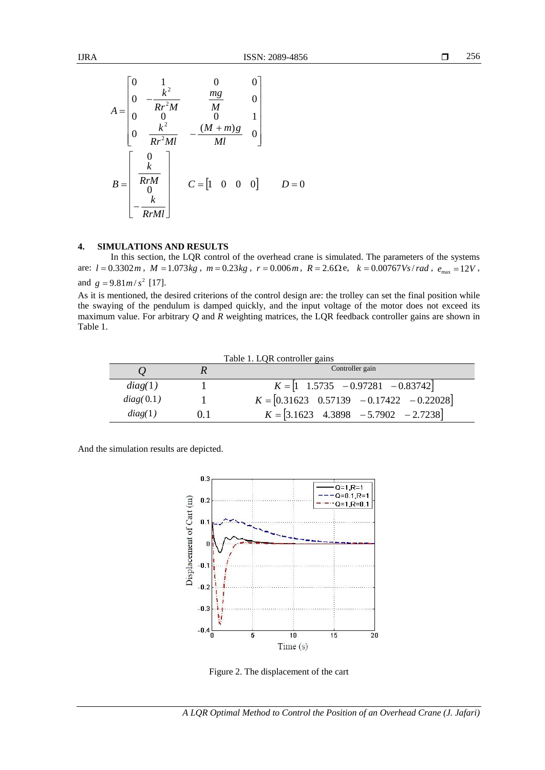$$
A = \begin{bmatrix} 0 & 1 & 0 & 0 \\ 0 & -\frac{k^2}{Rr^2M} & \frac{mg}{M} & 0 \\ 0 & 0 & 0 & 1 \\ 0 & \frac{k^2}{Rr^2Ml} & -\frac{(M+m)g}{Ml} & 0 \end{bmatrix}
$$

$$
B = \begin{bmatrix} 0 \\ \frac{k}{RrM} \\ -\frac{k}{RrMl} \end{bmatrix} \qquad C = \begin{bmatrix} 1 & 0 & 0 & 0 \end{bmatrix} \qquad D = 0
$$

# **4. SIMULATIONS AND RESULTS**

In this section, the LQR control of the overhead crane is simulated. The parameters of the systems are:  $l = 0.3302m$ ,  $M = 1.073kg$ ,  $m = 0.23kg$ ,  $r = 0.006m$ ,  $R = 2.6\Omega$ e,  $k = 0.00767Vs/rad$ ,  $e_{\text{max}} = 12V$ , and  $g = 9.81m/s^2$  [17].

As it is mentioned, the desired criterions of the control design are: the trolley can set the final position while the swaying of the pendulum is damped quickly, and the input voltage of the motor does not exceed its maximum value. For arbitrary *Q* and *R* weighting matrices, the LQR feedback controller gains are shown in Table 1.

Table 1. LQR controller gains

|           |    | Controller gain                                                         |
|-----------|----|-------------------------------------------------------------------------|
| diag(1)   |    | $K = \begin{bmatrix} 1 & 1.5735 & -0.97281 & -0.83742 \end{bmatrix}$    |
| diag(0.1) |    | $K = [0.31623 \quad 0.57139 \quad -0.17422 \quad -0.22028]$             |
| diag(1)   | 01 | $K = \begin{bmatrix} 3.1623 & 4.3898 & -5.7902 & -2.7238 \end{bmatrix}$ |

And the simulation results are depicted.



Figure 2. The displacement of the cart

*A LQR Optimal Method to Control the Position of an Overhead Crane (J. Jafari)*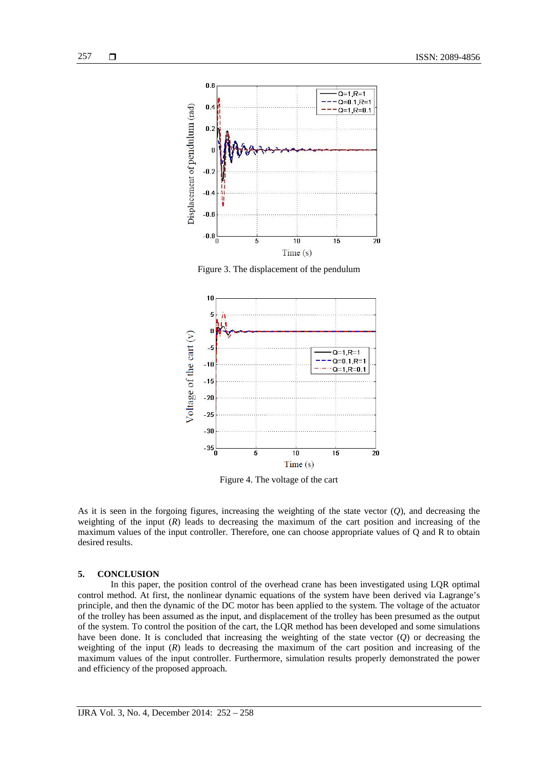

Figure 3. The displacement of the pendulum



Figure 4. The voltage of the cart

As it is seen in the forgoing figures, increasing the weighting of the state vector (*Q*), and decreasing the weighting of the input  $(R)$  leads to decreasing the maximum of the cart position and increasing of the maximum values of the input controller. Therefore, one can choose appropriate values of Q and R to obtain desired results.

## **5. CONCLUSION**

In this paper, the position control of the overhead crane has been investigated using LQR optimal control method. At first, the nonlinear dynamic equations of the system have been derived via Lagrange's principle, and then the dynamic of the DC motor has been applied to the system. The voltage of the actuator of the trolley has been assumed as the input, and displacement of the trolley has been presumed as the output of the system. To control the position of the cart, the LQR method has been developed and some simulations have been done. It is concluded that increasing the weighting of the state vector (*Q*) or decreasing the weighting of the input  $(R)$  leads to decreasing the maximum of the cart position and increasing of the maximum values of the input controller. Furthermore, simulation results properly demonstrated the power and efficiency of the proposed approach.